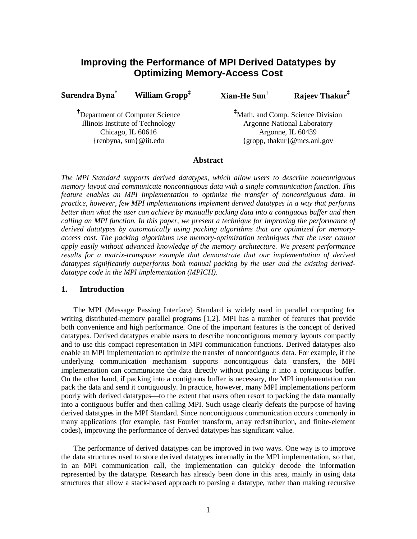# **Improving the Performance of MPI Derived Datatypes by Optimizing Memory-Access Cost**

| Surendra Byna <sup>†</sup>                  | William Gropp <sup>#</sup> | Xian-He Sun <sup>†</sup>                      | Rajeev Thakur <sup>1</sup> |
|---------------------------------------------|----------------------------|-----------------------------------------------|----------------------------|
| <sup>T</sup> Department of Computer Science |                            | <sup>‡</sup> Math. and Comp. Science Division |                            |
| Illinois Institute of Technology            |                            | <b>Argonne National Laboratory</b>            |                            |
| Chicago, IL 60616                           |                            | Argonne, IL 60439                             |                            |
| {renbyna, sun}@iit.edu                      |                            | {gropp, thakur} @mcs.anl.gov                  |                            |

#### **Abstract**

*The MPI Standard supports derived datatypes, which allow users to describe noncontiguous memory layout and communicate noncontiguous data with a single communication function. This feature enables an MPI implementation to optimize the transfer of noncontiguous data. In practice, however, few MPI implementations implement derived datatypes in a way that performs better than what the user can achieve by manually packing data into a contiguous buffer and then calling an MPI function. In this paper, we present a technique for improving the performance of derived datatypes by automatically using packing algorithms that are optimized for memoryaccess cost. The packing algorithms use memory-optimization techniques that the user cannot apply easily without advanced knowledge of the memory architecture. We present performance results for a matrix-transpose example that demonstrate that our implementation of derived datatypes significantly outperforms both manual packing by the user and the existing deriveddatatype code in the MPI implementation (MPICH).*

#### **1. Introduction**

The MPI (Message Passing Interface) Standard is widely used in parallel computing for writing distributed-memory parallel programs [1,2]. MPI has a number of features that provide both convenience and high performance. One of the important features is the concept of derived datatypes. Derived datatypes enable users to describe noncontiguous memory layouts compactly and to use this compact representation in MPI communication functions. Derived datatypes also enable an MPI implementation to optimize the transfer of noncontiguous data. For example, if the underlying communication mechanism supports noncontiguous data transfers, the MPI implementation can communicate the data directly without packing it into a contiguous buffer. On the other hand, if packing into a contiguous buffer is necessary, the MPI implementation can pack the data and send it contiguously. In practice, however, many MPI implementations perform poorly with derived datatypes—to the extent that users often resort to packing the data manually into a contiguous buffer and then calling MPI. Such usage clearly defeats the purpose of having derived datatypes in the MPI Standard. Since noncontiguous communication occurs commonly in many applications (for example, fast Fourier transform, array redistribution, and finite-element codes), improving the performance of derived datatypes has significant value.

The performance of derived datatypes can be improved in two ways. One way is to improve the data structures used to store derived datatypes internally in the MPI implementation, so that, in an MPI communication call, the implementation can quickly decode the information represented by the datatype. Research has already been done in this area, mainly in using data structures that allow a stack-based approach to parsing a datatype, rather than making recursive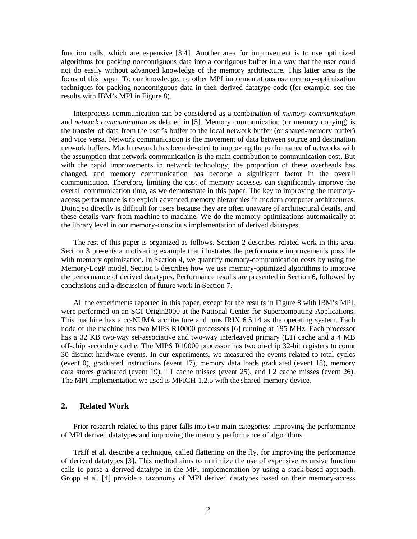function calls, which are expensive [3,4]. Another area for improvement is to use optimized algorithms for packing noncontiguous data into a contiguous buffer in a way that the user could not do easily without advanced knowledge of the memory architecture. This latter area is the focus of this paper. To our knowledge, no other MPI implementations use memory-optimization techniques for packing noncontiguous data in their derived-datatype code (for example, see the results with IBM's MPI in Figure 8).

Interprocess communication can be considered as a combination of *memory communication* and *network communication* as defined in [5]. Memory communication (or memory copying) is the transfer of data from the user's buffer to the local network buffer (or shared-memory buffer) and vice versa. Network communication is the movement of data between source and destination network buffers. Much research has been devoted to improving the performance of networks with the assumption that network communication is the main contribution to communication cost. But with the rapid improvements in network technology, the proportion of these overheads has changed, and memory communication has become a significant factor in the overall communication. Therefore, limiting the cost of memory accesses can significantly improve the overall communication time, as we demonstrate in this paper. The key to improving the memoryaccess performance is to exploit advanced memory hierarchies in modern computer architectures. Doing so directly is difficult for users because they are often unaware of architectural details, and these details vary from machine to machine. We do the memory optimizations automatically at the library level in our memory-conscious implementation of derived datatypes.

The rest of this paper is organized as follows. Section 2 describes related work in this area. Section 3 presents a motivating example that illustrates the performance improvements possible with memory optimization. In Section 4, we quantify memory-communication costs by using the Memory-LogP model. Section 5 describes how we use memory-optimized algorithms to improve the performance of derived datatypes. Performance results are presented in Section 6, followed by conclusions and a discussion of future work in Section 7.

All the experiments reported in this paper, except for the results in Figure 8 with IBM's MPI, were performed on an SGI Origin2000 at the National Center for Supercomputing Applications. This machine has a cc-NUMA architecture and runs IRIX 6.5.14 as the operating system. Each node of the machine has two MIPS R10000 processors [6] running at 195 MHz. Each processor has a 32 KB two-way set-associative and two-way interleaved primary (L1) cache and a 4 MB off-chip secondary cache. The MIPS R10000 processor has two on-chip 32-bit registers to count 30 distinct hardware events. In our experiments, we measured the events related to total cycles (event 0), graduated instructions (event 17), memory data loads graduated (event 18), memory data stores graduated (event 19), L1 cache misses (event 25), and L2 cache misses (event 26). The MPI implementation we used is MPICH-1.2.5 with the shared-memory device.

### **2. Related Work**

Prior research related to this paper falls into two main categories: improving the performance of MPI derived datatypes and improving the memory performance of algorithms.

Träff et al. describe a technique, called flattening on the fly, for improving the performance of derived datatypes [3]. This method aims to minimize the use of expensive recursive function calls to parse a derived datatype in the MPI implementation by using a stack-based approach. Gropp et al. [4] provide a taxonomy of MPI derived datatypes based on their memory-access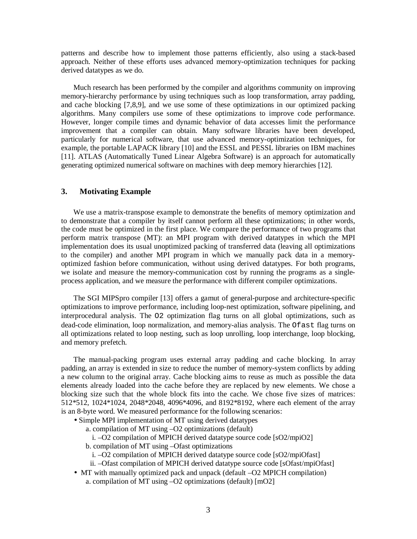patterns and describe how to implement those patterns efficiently, also using a stack-based approach. Neither of these efforts uses advanced memory-optimization techniques for packing derived datatypes as we do.

Much research has been performed by the compiler and algorithms community on improving memory-hierarchy performance by using techniques such as loop transformation, array padding, and cache blocking [7,8,9], and we use some of these optimizations in our optimized packing algorithms. Many compilers use some of these optimizations to improve code performance. However, longer compile times and dynamic behavior of data accesses limit the performance improvement that a compiler can obtain. Many software libraries have been developed, particularly for numerical software, that use advanced memory-optimization techniques, for example, the portable LAPACK library [10] and the ESSL and PESSL libraries on IBM machines [11]. ATLAS (Automatically Tuned Linear Algebra Software) is an approach for automatically generating optimized numerical software on machines with deep memory hierarchies [12].

#### **3. Motivating Example**

We use a matrix-transpose example to demonstrate the benefits of memory optimization and to demonstrate that a compiler by itself cannot perform all these optimizations; in other words, the code must be optimized in the first place. We compare the performance of two programs that perform matrix transpose (MT): an MPI program with derived datatypes in which the MPI implementation does its usual unoptimized packing of transferred data (leaving all optimizations to the compiler) and another MPI program in which we manually pack data in a memoryoptimized fashion before communication, without using derived datatypes. For both programs, we isolate and measure the memory-communication cost by running the programs as a singleprocess application, and we measure the performance with different compiler optimizations.

The SGI MIPSpro compiler [13] offers a gamut of general-purpose and architecture-specific optimizations to improve performance, including loop-nest optimization, software pipelining, and interprocedural analysis. The O2 optimization flag turns on all global optimizations, such as dead-code elimination, loop normalization, and memory-alias analysis. The Ofast flag turns on all optimizations related to loop nesting, such as loop unrolling, loop interchange, loop blocking, and memory prefetch.

The manual-packing program uses external array padding and cache blocking. In array padding, an array is extended in size to reduce the number of memory-system conflicts by adding a new column to the original array. Cache blocking aims to reuse as much as possible the data elements already loaded into the cache before they are replaced by new elements. We chose a blocking size such that the whole block fits into the cache. We chose five sizes of matrices: 512\*512, 1024\*1024, 2048\*2048, 4096\*4096, and 8192\*8192, where each element of the array is an 8-byte word. We measured performance for the following scenarios:

- Simple MPI implementation of MT using derived datatypes
	- a. compilation of MT using –O2 optimizations (default)
	- i. –O2 compilation of MPICH derived datatype source code [sO2/mpiO2]
	- b. compilation of MT using –Ofast optimizations
		- i. –O2 compilation of MPICH derived datatype source code [sO2/mpiOfast]
		- ii. –Ofast compilation of MPICH derived datatype source code [sOfast/mpiOfast]
- MT with manually optimized pack and unpack (default  $-O2$  MPICH compilation) a. compilation of MT using –O2 optimizations (default) [mO2]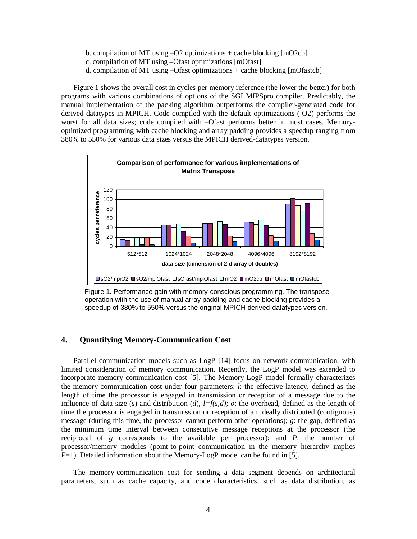- b. compilation of MT using –O2 optimizations + cache blocking [mO2cb]
- c. compilation of MT using –Ofast optimizations [mOfast]
- d. compilation of MT using –Ofast optimizations + cache blocking [mOfastcb]

Figure 1 shows the overall cost in cycles per memory reference (the lower the better) for both programs with various combinations of options of the SGI MIPSpro compiler. Predictably, the manual implementation of the packing algorithm outperforms the compiler-generated code for derived datatypes in MPICH. Code compiled with the default optimizations (-O2) performs the worst for all data sizes; code compiled with –Ofast performs better in most cases. Memoryoptimized programming with cache blocking and array padding provides a speedup ranging from 380% to 550% for various data sizes versus the MPICH derived-datatypes version.



Figure 1. Performance gain with memory-conscious programming. The transpose operation with the use of manual array padding and cache blocking provides a speedup of 380% to 550% versus the original MPICH derived-datatypes version.

## **4. Quantifying Memory-Communication Cost**

Parallel communication models such as LogP [14] focus on network communication, with limited consideration of memory communication. Recently, the LogP model was extended to incorporate memory-communication cost [5]. The Memory-LogP model formally characterizes the memory-communication cost under four parameters: *l*: the effective latency, defined as the length of time the processor is engaged in transmission or reception of a message due to the influence of data size  $(s)$  and distribution  $(d)$ ,  $l=f(s,d)$ ; *o*: the overhead, defined as the length of time the processor is engaged in transmission or reception of an ideally distributed (contiguous) message (during this time, the processor cannot perform other operations); *g*: the gap, defined as the minimum time interval between consecutive message receptions at the processor (the reciprocal of *g* corresponds to the available per processor); and *P*: the number of processor/memory modules (point-to-point communication in the memory hierarchy implies *P*=1). Detailed information about the Memory-LogP model can be found in [5].

The memory-communication cost for sending a data segment depends on architectural parameters, such as cache capacity, and code characteristics, such as data distribution, as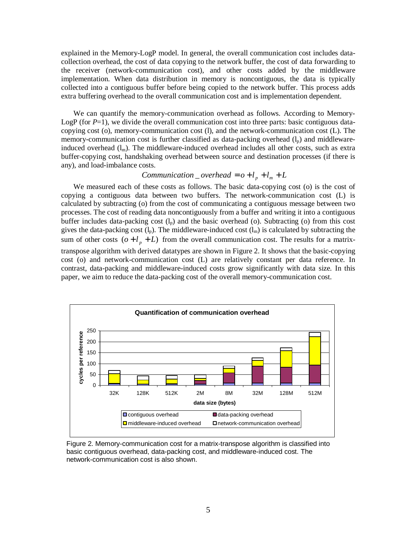explained in the Memory-LogP model. In general, the overall communication cost includes datacollection overhead, the cost of data copying to the network buffer, the cost of data forwarding to the receiver (network-communication cost), and other costs added by the middleware implementation. When data distribution in memory is noncontiguous, the data is typically collected into a contiguous buffer before being copied to the network buffer. This process adds extra buffering overhead to the overall communication cost and is implementation dependent.

We can quantify the memory-communication overhead as follows. According to Memory-LogP (for  $P=1$ ), we divide the overall communication cost into three parts: basic contiguous datacopying cost (o), memory-communication cost (l), and the network-communication cost (L). The memory-communication cost is further classified as data-packing overhead  $(l_p)$  and middlewareinduced overhead  $(l_m)$ . The middleware-induced overhead includes all other costs, such as extra buffer-copying cost, handshaking overhead between source and destination processes (if there is any), and load-imbalance costs.

## *Communication*  $\omega$  *overhead* =  $o + l_p + l_m + L$

We measured each of these costs as follows. The basic data-copying cost (o) is the cost of copying a contiguous data between two buffers. The network-communication cost (L) is calculated by subtracting (o) from the cost of communicating a contiguous message between two processes. The cost of reading data noncontiguously from a buffer and writing it into a contiguous buffer includes data-packing cost  $(l_p)$  and the basic overhead (o). Subtracting (o) from this cost gives the data-packing cost  $(l_p)$ . The middleware-induced cost  $(l_m)$  is calculated by subtracting the sum of other costs  $(o + l<sub>n</sub> + L)$  from the overall communication cost. The results for a matrixtranspose algorithm with derived datatypes are shown in Figure 2. It shows that the basic-copying cost (o) and network-communication cost (L) are relatively constant per data reference. In contrast, data-packing and middleware-induced costs grow significantly with data size. In this paper, we aim to reduce the data-packing cost of the overall memory-communication cost.



Figure 2. Memory-communication cost for a matrix-transpose algorithm is classified into basic contiguous overhead, data-packing cost, and middleware-induced cost. The network-communication cost is also shown.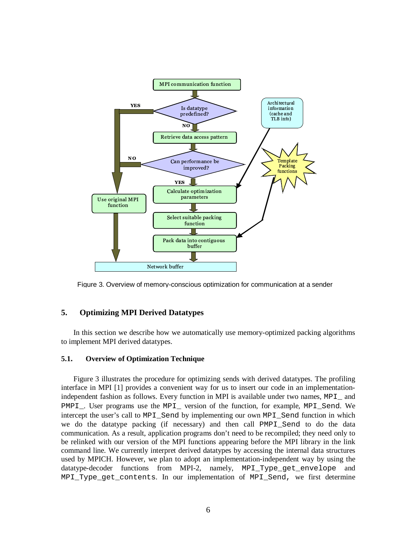

Figure 3. Overview of memory-conscious optimization for communication at a sender

## **5. Optimizing MPI Derived Datatypes**

In this section we describe how we automatically use memory-optimized packing algorithms to implement MPI derived datatypes.

### **5.1. Overview of Optimization Technique**

Figure 3 illustrates the procedure for optimizing sends with derived datatypes. The profiling interface in MPI [1] provides a convenient way for us to insert our code in an implementationindependent fashion as follows. Every function in MPI is available under two names, MPI\_ and PMPI. User programs use the MPI version of the function, for example, MPI Send. We intercept the user's call to MPI\_Send by implementing our own MPI\_Send function in which we do the datatype packing (if necessary) and then call PMPI\_Send to do the data communication. As a result, application programs don't need to be recompiled; they need only to be relinked with our version of the MPI functions appearing before the MPI library in the link command line. We currently interpret derived datatypes by accessing the internal data structures used by MPICH. However, we plan to adopt an implementation-independent way by using the datatype-decoder functions from MPI-2, namely, MPI Type get envelope and MPI\_Type\_get\_contents. In our implementation of MPI\_Send, we first determine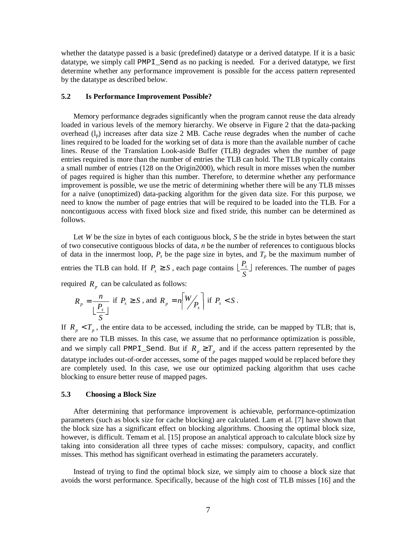whether the datatype passed is a basic (predefined) datatype or a derived datatype. If it is a basic datatype, we simply call PMPI\_Send as no packing is needed. For a derived datatype, we first determine whether any performance improvement is possible for the access pattern represented by the datatype as described below.

#### **5.2 Is Performance Improvement Possible?**

Memory performance degrades significantly when the program cannot reuse the data already loaded in various levels of the memory hierarchy. We observe in Figure 2 that the data-packing overhead  $(l_p)$  increases after data size 2 MB. Cache reuse degrades when the number of cache lines required to be loaded for the working set of data is more than the available number of cache lines. Reuse of the Translation Look-aside Buffer (TLB) degrades when the number of page entries required is more than the number of entries the TLB can hold. The TLB typically contains a small number of entries (128 on the Origin2000), which result in more misses when the number of pages required is higher than this number. Therefore, to determine whether any performance improvement is possible, we use the metric of determining whether there will be any TLB misses for a naïve (unoptimized) data-packing algorithm for the given data size. For this purpose, we need to know the number of page entries that will be required to be loaded into the TLB. For a noncontiguous access with fixed block size and fixed stride, this number can be determined as follows.

Let *W* be the size in bytes of each contiguous block, *S* be the stride in bytes between the start of two consecutive contiguous blocks of data, *n* be the number of references to contiguous blocks of data in the innermost loop,  $P_s$  be the page size in bytes, and  $T_p$  be the maximum number of entries the TLB can hold. If  $P_s \geq S$ , each page contains  $\lfloor \frac{I_s}{S} \rfloor$  referent  $\frac{P_s}{r}$  references. The number of pages required  $R_p$  can be calculated as follows:

$$
R_p = \frac{n}{\lfloor \frac{P_s}{S} \rfloor} \text{ if } P_s \ge S \text{ , and } R_p = n \left\lceil \frac{W}{P_s} \right\rceil \text{ if } P_s < S \text{ .}
$$

If  $R_p < T_p$ , the entire data to be accessed, including the stride, can be mapped by TLB; that is, there are no TLB misses. In this case, we assume that no performance optimization is possible, and we simply call PMPI\_Send. But if  $R_p \geq T_p$  and if the access pattern represented by the datatype includes out-of-order accesses, some of the pages mapped would be replaced before they are completely used. In this case, we use our optimized packing algorithm that uses cache blocking to ensure better reuse of mapped pages.

#### **5.3 Choosing a Block Size**

After determining that performance improvement is achievable, performance-optimization parameters (such as block size for cache blocking) are calculated. Lam et al. [7] have shown that the block size has a significant effect on blocking algorithms. Choosing the optimal block size, however, is difficult. Temam et al. [15] propose an analytical approach to calculate block size by taking into consideration all three types of cache misses: compulsory, capacity, and conflict misses. This method has significant overhead in estimating the parameters accurately.

Instead of trying to find the optimal block size, we simply aim to choose a block size that avoids the worst performance. Specifically, because of the high cost of TLB misses [16] and the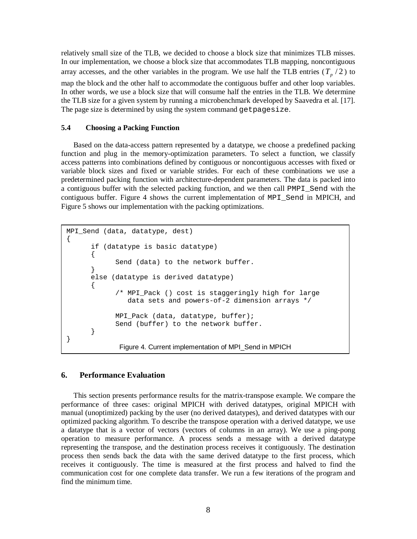relatively small size of the TLB, we decided to choose a block size that minimizes TLB misses. In our implementation, we choose a block size that accommodates TLB mapping, noncontiguous array accesses, and the other variables in the program. We use half the TLB entries  $(T_p / 2)$  to map the block and the other half to accommodate the contiguous buffer and other loop variables. In other words, we use a block size that will consume half the entries in the TLB. We determine the TLB size for a given system by running a microbenchmark developed by Saavedra et al. [17]. The page size is determined by using the system command getpagesize.

## **5.4 Choosing a Packing Function**

Based on the data-access pattern represented by a datatype, we choose a predefined packing function and plug in the memory-optimization parameters. To select a function, we classify access patterns into combinations defined by contiguous or noncontiguous accesses with fixed or variable block sizes and fixed or variable strides. For each of these combinations we use a predetermined packing function with architecture-dependent parameters. The data is packed into a contiguous buffer with the selected packing function, and we then call PMPI\_Send with the contiguous buffer. Figure 4 shows the current implementation of MPI\_Send in MPICH, and Figure 5 shows our implementation with the packing optimizations.

```
MPI Send (data, datatype, dest)
{
      if (datatype is basic datatype)
      {
            Send (data) to the network buffer.
      }
      else (datatype is derived datatype)
      {
            /* MPI_Pack () cost is staggeringly high for large
                data sets and powers-of-2 dimension arrays */
            MPI Pack (data, datatype, buffer);
            Send (buffer) to the network buffer.
      }
}
              Figure 4. Current implementation of MPI_Send in MPICH
```
### **6. Performance Evaluation**

This section presents performance results for the matrix-transpose example. We compare the performance of three cases: original MPICH with derived datatypes, original MPICH with manual (unoptimized) packing by the user (no derived datatypes), and derived datatypes with our optimized packing algorithm. To describe the transpose operation with a derived datatype, we use a datatype that is a vector of vectors (vectors of columns in an array). We use a ping-pong operation to measure performance. A process sends a message with a derived datatype representing the transpose, and the destination process receives it contiguously. The destination process then sends back the data with the same derived datatype to the first process, which receives it contiguously. The time is measured at the first process and halved to find the communication cost for one complete data transfer. We run a few iterations of the program and find the minimum time.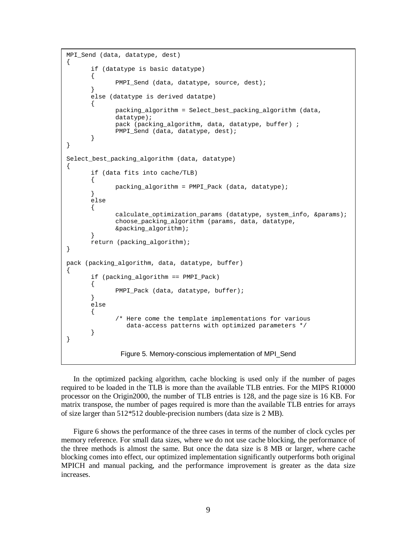```
MPI_Send (data, datatype, dest)
{
       if (datatype is basic datatype)
       {
              PMPI_Send (data, datatype, source, dest);
       }
       else (datatype is derived datatpe)
       {
             packing_algorithm = Select_best_packing_algorithm (data,
             datatype);
             pack (packing_algorithm, data, datatype, buffer) ;
             PMPI_Send (data, datatype, dest);
       }
}
Select best packing algorithm (data, datatype)
{
       if (data fits into cache/TLB)
       {
             packing_algorithm = PMPI_Pack (data, datatype);
       }
       else
       {
              calculate_optimization_params (datatype, system_info, &params);
              choose_packing_algorithm (params, data, datatype,
              &packing_algorithm);
       }
       return (packing_algorithm);
}
pack (packing_algorithm, data, datatype, buffer)
{
       if (packing_algorithm == PMPI_Pack)
       {
             PMPI_Pack (data, datatype, buffer);
       }
       else
       {
              /* Here come the template implementations for various
                 data-access patterns with optimized parameters */
       }
}
               Figure 5. Memory-conscious implementation of MPI_Send
```
In the optimized packing algorithm, cache blocking is used only if the number of pages required to be loaded in the TLB is more than the available TLB entries. For the MIPS R10000 processor on the Origin2000, the number of TLB entries is 128, and the page size is 16 KB. For matrix transpose, the number of pages required is more than the available TLB entries for arrays of size larger than 512\*512 double-precision numbers (data size is 2 MB).

Figure 6 shows the performance of the three cases in terms of the number of clock cycles per memory reference. For small data sizes, where we do not use cache blocking, the performance of the three methods is almost the same. But once the data size is 8 MB or larger, where cache blocking comes into effect, our optimized implementation significantly outperforms both original MPICH and manual packing, and the performance improvement is greater as the data size increases.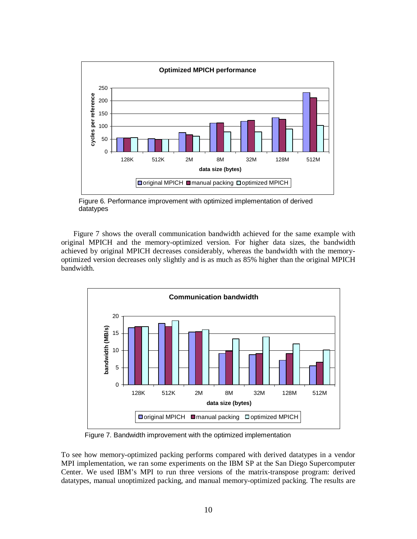

Figure 6. Performance improvement with optimized implementation of derived datatypes

Figure 7 shows the overall communication bandwidth achieved for the same example with original MPICH and the memory-optimized version. For higher data sizes, the bandwidth achieved by original MPICH decreases considerably, whereas the bandwidth with the memoryoptimized version decreases only slightly and is as much as 85% higher than the original MPICH bandwidth.



Figure 7. Bandwidth improvement with the optimized implementation

To see how memory-optimized packing performs compared with derived datatypes in a vendor MPI implementation, we ran some experiments on the IBM SP at the San Diego Supercomputer Center. We used IBM's MPI to run three versions of the matrix-transpose program: derived datatypes, manual unoptimized packing, and manual memory-optimized packing. The results are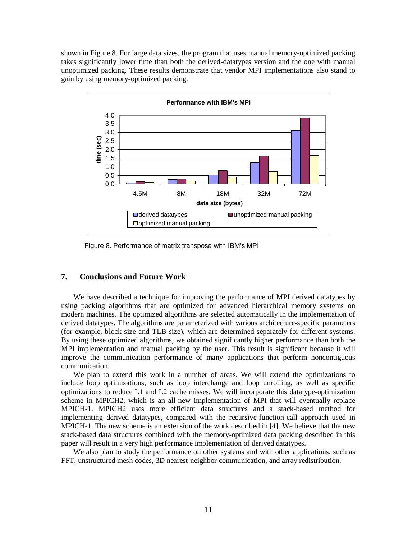shown in Figure 8. For large data sizes, the program that uses manual memory-optimized packing takes significantly lower time than both the derived-datatypes version and the one with manual unoptimized packing. These results demonstrate that vendor MPI implementations also stand to gain by using memory-optimized packing.



Figure 8. Performance of matrix transpose with IBM's MPI

## **7. Conclusions and Future Work**

We have described a technique for improving the performance of MPI derived datatypes by using packing algorithms that are optimized for advanced hierarchical memory systems on modern machines. The optimized algorithms are selected automatically in the implementation of derived datatypes. The algorithms are parameterized with various architecture-specific parameters (for example, block size and TLB size), which are determined separately for different systems. By using these optimized algorithms, we obtained significantly higher performance than both the MPI implementation and manual packing by the user. This result is significant because it will improve the communication performance of many applications that perform noncontiguous communication.

We plan to extend this work in a number of areas. We will extend the optimizations to include loop optimizations, such as loop interchange and loop unrolling, as well as specific optimizations to reduce L1 and L2 cache misses. We will incorporate this datatype-optimization scheme in MPICH2, which is an all-new implementation of MPI that will eventually replace MPICH-1. MPICH2 uses more efficient data structures and a stack-based method for implementing derived datatypes, compared with the recursive-function-call approach used in MPICH-1. The new scheme is an extension of the work described in [4]. We believe that the new stack-based data structures combined with the memory-optimized data packing described in this paper will result in a very high performance implementation of derived datatypes.

We also plan to study the performance on other systems and with other applications, such as FFT, unstructured mesh codes, 3D nearest-neighbor communication, and array redistribution.